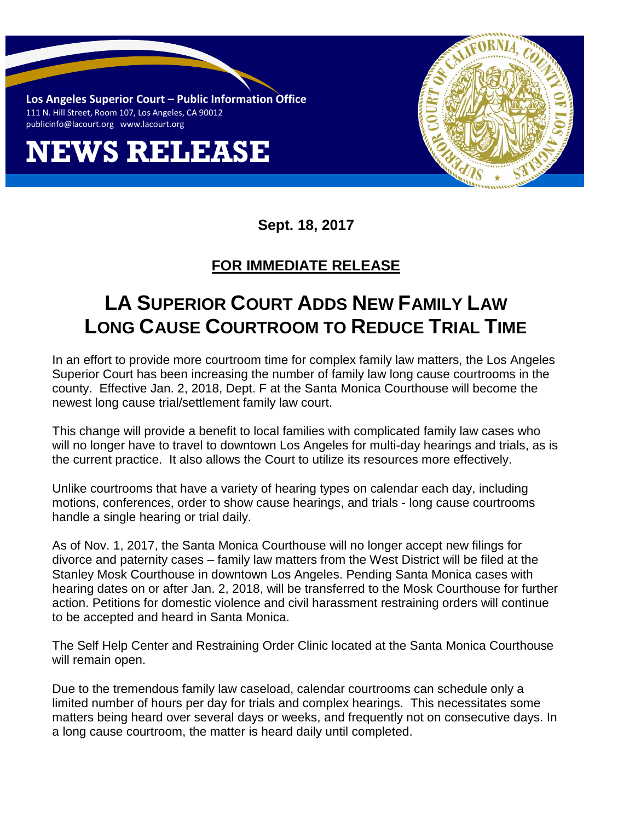**Los Angeles Superior Court – Public Information Office** 111 N. Hill Street, Room 107, Los Angeles, CA 90012 [publicinfo@lacourt.org](mailto:publicinfo@lacourt.org) www.lacourt.org

## **NEWS RELEASE**



**Sept. 18, 2017** 

## **FOR IMMEDIATE RELEASE**

## **LA SUPERIOR COURT ADDS NEW FAMILY LAW LONG CAUSE COURTROOM TO REDUCE TRIAL TIME**

In an effort to provide more courtroom time for complex family law matters, the Los Angeles Superior Court has been increasing the number of family law long cause courtrooms in the county. Effective Jan. 2, 2018, Dept. F at the Santa Monica Courthouse will become the newest long cause trial/settlement family law court.

This change will provide a benefit to local families with complicated family law cases who will no longer have to travel to downtown Los Angeles for multi-day hearings and trials, as is the current practice. It also allows the Court to utilize its resources more effectively.

Unlike courtrooms that have a variety of hearing types on calendar each day, including motions, conferences, order to show cause hearings, and trials - long cause courtrooms handle a single hearing or trial daily.

As of Nov. 1, 2017, the Santa Monica Courthouse will no longer accept new filings for divorce and paternity cases – family law matters from the West District will be filed at the Stanley Mosk Courthouse in downtown Los Angeles. Pending Santa Monica cases with hearing dates on or after Jan. 2, 2018, will be transferred to the Mosk Courthouse for further action. Petitions for domestic violence and civil harassment restraining orders will continue to be accepted and heard in Santa Monica.

The Self Help Center and Restraining Order Clinic located at the Santa Monica Courthouse will remain open.

Due to the tremendous family law caseload, calendar courtrooms can schedule only a limited number of hours per day for trials and complex hearings. This necessitates some matters being heard over several days or weeks, and frequently not on consecutive days. In a long cause courtroom, the matter is heard daily until completed.